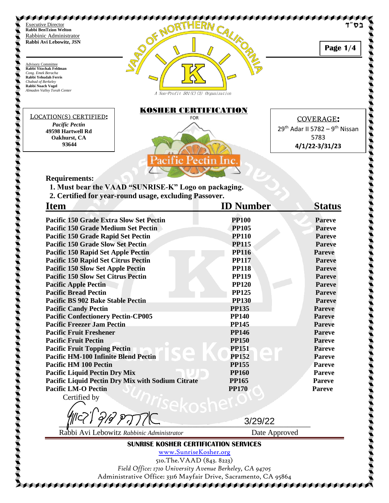

510.The.VAAD (843. 8223) *Field Office: 1710 University Avenue Berkeley, CA 94705* Administrative Office: 3316 Mayfair Drive, Sacramento, CA 95864 AAAAAAAAAAAAAAAAAAAAAAAAAAAAAAAAAA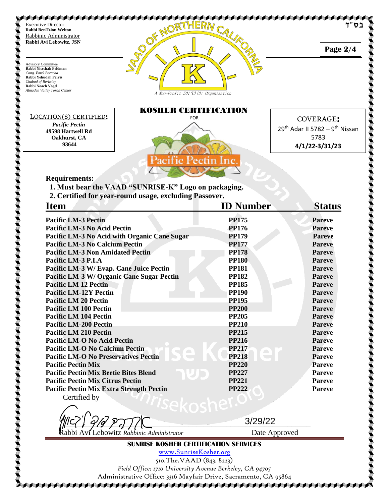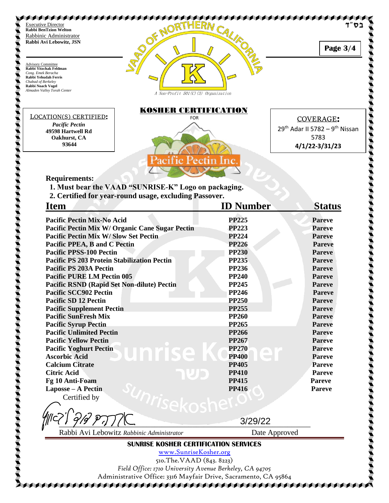